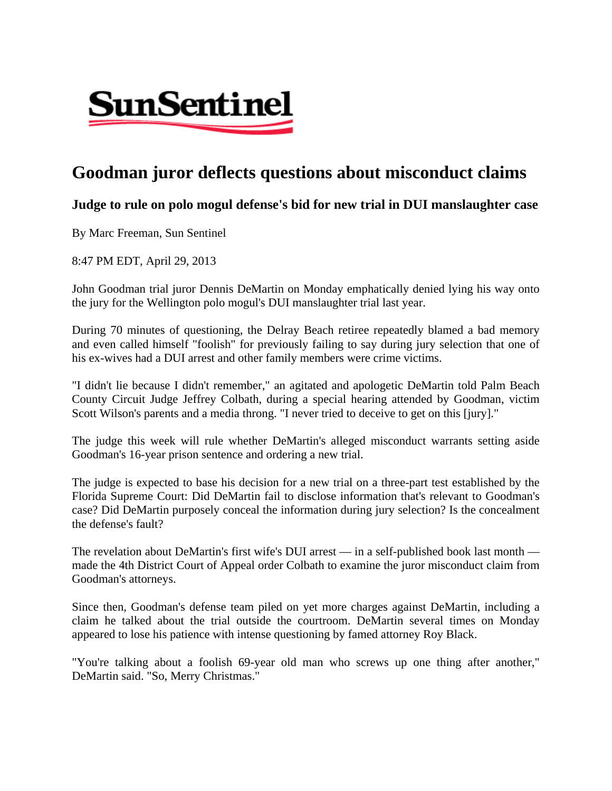

## **Goodman juror deflects questions about misconduct claims**

## **Judge to rule on polo mogul defense's bid for new trial in DUI manslaughter case**

By Marc Freeman, Sun Sentinel

8:47 PM EDT, April 29, 2013

John Goodman trial juror Dennis DeMartin on Monday emphatically denied lying his way onto the jury for the Wellington polo mogul's DUI manslaughter trial last year.

During 70 minutes of questioning, the Delray Beach retiree repeatedly blamed a bad memory and even called himself "foolish" for previously failing to say during jury selection that one of his ex-wives had a DUI arrest and other family members were crime victims.

"I didn't lie because I didn't remember," an agitated and apologetic DeMartin told Palm Beach County Circuit Judge Jeffrey Colbath, during a special hearing attended by Goodman, victim Scott Wilson's parents and a media throng. "I never tried to deceive to get on this [jury]."

The judge this week will rule whether DeMartin's alleged misconduct warrants setting aside Goodman's 16-year prison sentence and ordering a new trial.

The judge is expected to base his decision for a new trial on a three-part test established by the Florida Supreme Court: Did DeMartin fail to disclose information that's relevant to Goodman's case? Did DeMartin purposely conceal the information during jury selection? Is the concealment the defense's fault?

The revelation about DeMartin's first wife's DUI arrest — in a self-published book last month made the 4th District Court of Appeal order Colbath to examine the juror misconduct claim from Goodman's attorneys.

Since then, Goodman's defense team piled on yet more charges against DeMartin, including a claim he talked about the trial outside the courtroom. DeMartin several times on Monday appeared to lose his patience with intense questioning by famed attorney Roy Black.

"You're talking about a foolish 69-year old man who screws up one thing after another," DeMartin said. "So, Merry Christmas."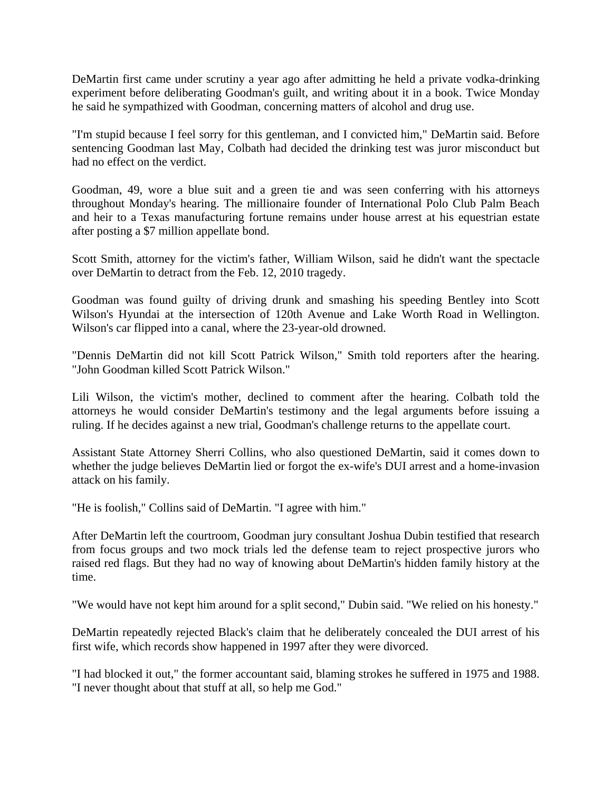DeMartin first came under scrutiny a year ago after admitting he held a private vodka-drinking experiment before deliberating Goodman's guilt, and writing about it in a book. Twice Monday he said he sympathized with Goodman, concerning matters of alcohol and drug use.

"I'm stupid because I feel sorry for this gentleman, and I convicted him," DeMartin said. Before sentencing Goodman last May, Colbath had decided the drinking test was juror misconduct but had no effect on the verdict.

Goodman, 49, wore a blue suit and a green tie and was seen conferring with his attorneys throughout Monday's hearing. The millionaire founder of International Polo Club Palm Beach and heir to a Texas manufacturing fortune remains under house arrest at his equestrian estate after posting a \$7 million appellate bond.

Scott Smith, attorney for the victim's father, William Wilson, said he didn't want the spectacle over DeMartin to detract from the Feb. 12, 2010 tragedy.

Goodman was found guilty of driving drunk and smashing his speeding Bentley into Scott Wilson's Hyundai at the intersection of 120th Avenue and Lake Worth Road in Wellington. Wilson's car flipped into a canal, where the 23-year-old drowned.

"Dennis DeMartin did not kill Scott Patrick Wilson," Smith told reporters after the hearing. "John Goodman killed Scott Patrick Wilson."

Lili Wilson, the victim's mother, declined to comment after the hearing. Colbath told the attorneys he would consider DeMartin's testimony and the legal arguments before issuing a ruling. If he decides against a new trial, Goodman's challenge returns to the appellate court.

Assistant State Attorney Sherri Collins, who also questioned DeMartin, said it comes down to whether the judge believes DeMartin lied or forgot the ex-wife's DUI arrest and a home-invasion attack on his family.

"He is foolish," Collins said of DeMartin. "I agree with him."

After DeMartin left the courtroom, Goodman jury consultant Joshua Dubin testified that research from focus groups and two mock trials led the defense team to reject prospective jurors who raised red flags. But they had no way of knowing about DeMartin's hidden family history at the time.

"We would have not kept him around for a split second," Dubin said. "We relied on his honesty."

DeMartin repeatedly rejected Black's claim that he deliberately concealed the DUI arrest of his first wife, which records show happened in 1997 after they were divorced.

"I had blocked it out," the former accountant said, blaming strokes he suffered in 1975 and 1988. "I never thought about that stuff at all, so help me God."